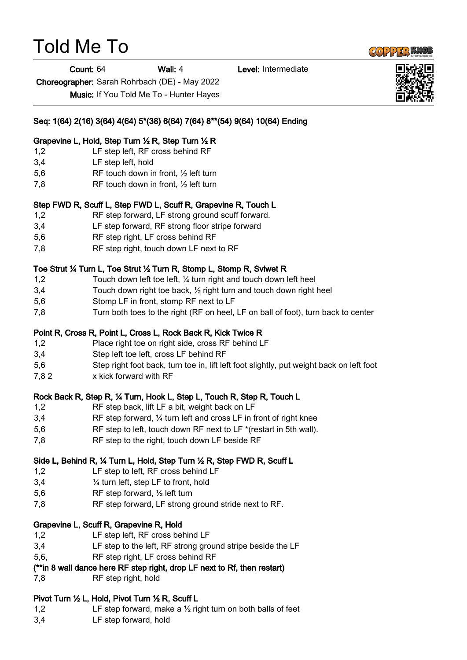# Told Me To

Count: 64 Wall: 4 Level: Intermediate

Choreographer: Sarah Rohrbach (DE) - May 2022

Music: If You Told Me To - Hunter Hayes

## Seq: 1(64) 2(16) 3(64) 4(64) 5\*(38) 6(64) 7(64) 8\*\*(54) 9(64) 10(64) Ending

#### Grapevine L, Hold, Step Turn ½ R, Step Turn ½ R

- 1,2 LF step left, RF cross behind RF
- 3,4 LF step left, hold
- 5,6 RF touch down in front, ½ left turn
- 7,8 RF touch down in front, ½ left turn

#### Step FWD R, Scuff L, Step FWD L, Scuff R, Grapevine R, Touch L

- 1,2 RF step forward, LF strong ground scuff forward.
- 3,4 LF step forward, RF strong floor stripe forward
- 5,6 RF step right, LF cross behind RF
- 7,8 RF step right, touch down LF next to RF

#### Toe Strut ¼ Turn L, Toe Strut ½ Turn R, Stomp L, Stomp R, Sviwet R

- 1,2 Touch down left toe left, ¼ turn right and touch down left heel
- 3.4 Touch down right toe back,  $\frac{1}{2}$  right turn and touch down right heel
- 5,6 Stomp LF in front, stomp RF next to LF
- 7,8 Turn both toes to the right (RF on heel, LF on ball of foot), turn back to center

#### Point R, Cross R, Point L, Cross L, Rock Back R, Kick Twice R

- 1,2 Place right toe on right side, cross RF behind LF
- 3,4 Step left toe left, cross LF behind RF
- 5,6 Step right foot back, turn toe in, lift left foot slightly, put weight back on left foot
- 7,8 2 x kick forward with RF

## Rock Back R, Step R, ¼ Turn, Hook L, Step L, Touch R, Step R, Touch L

- 1,2 RF step back, lift LF a bit, weight back on LF
- 3,4 RF step forward, ¼ turn left and cross LF in front of right knee
- 5,6 RF step to left, touch down RF next to LF \*(restart in 5th wall).
- 7,8 RF step to the right, touch down LF beside RF

## Side L, Behind R, ¼ Turn L, Hold, Step Turn ½ R, Step FWD R, Scuff L

- 1,2 LF step to left, RF cross behind LF
- 3,4 ¼ turn left, step LF to front, hold
- 5,6 RF step forward, ½ left turn
- 7,8 RF step forward, LF strong ground stride next to RF.

#### Grapevine L, Scuff R, Grapevine R, Hold

- 1,2 LF step left, RF cross behind LF
- 3,4 LF step to the left, RF strong ground stripe beside the LF
- 5,6, RF step right, LF cross behind RF
- (\*\*in 8 wall dance here RF step right, drop LF next to Rf, then restart)
- 7,8 RF step right, hold

# Pivot Turn ½ L, Hold, Pivot Turn ½ R, Scuff L

- 1,2 LF step forward, make a ½ right turn on both balls of feet
- 3,4 LF step forward, hold